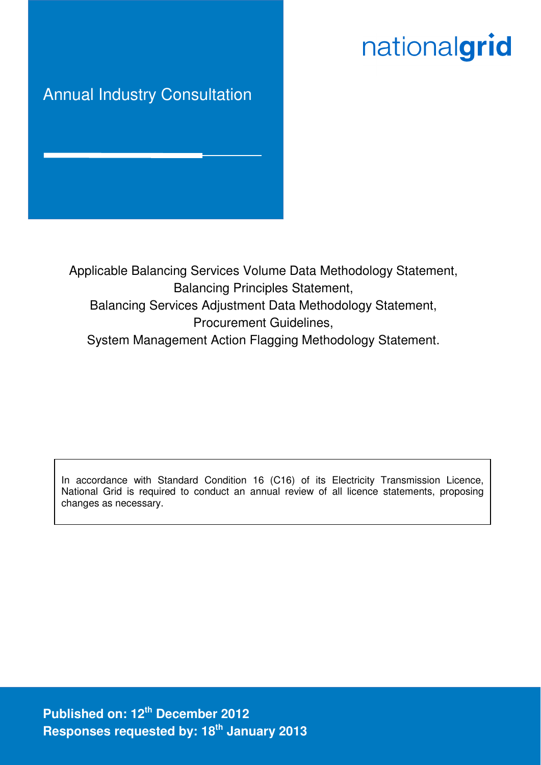# nationalgrid

# Annual Industry Consultation

Applicable Balancing Services Volume Data Methodology Statement, Balancing Principles Statement, Balancing Services Adjustment Data Methodology Statement, Procurement Guidelines, System Management Action Flagging Methodology Statement.

In accordance with Standard Condition 16 (C16) of its Electricity Transmission Licence, National Grid is required to conduct an annual review of all licence statements, proposing changes as necessary.

**Published on: 12th December 2012 Responses requested by: 18th January 2013**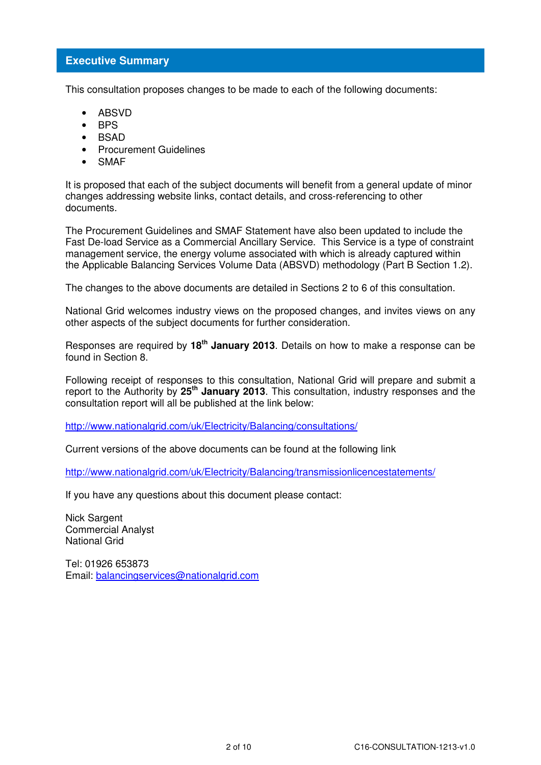# **Executive Summary**

This consultation proposes changes to be made to each of the following documents:

- ABSVD
- BPS
- BSAD
- Procurement Guidelines
- **SMAF**

It is proposed that each of the subject documents will benefit from a general update of minor changes addressing website links, contact details, and cross-referencing to other documents.

The Procurement Guidelines and SMAF Statement have also been updated to include the Fast De-load Service as a Commercial Ancillary Service. This Service is a type of constraint management service, the energy volume associated with which is already captured within the Applicable Balancing Services Volume Data (ABSVD) methodology (Part B Section 1.2).

The changes to the above documents are detailed in Sections 2 to 6 of this consultation.

National Grid welcomes industry views on the proposed changes, and invites views on any other aspects of the subject documents for further consideration.

Responses are required by **18th January 2013**. Details on how to make a response can be found in Section 8.

Following receipt of responses to this consultation, National Grid will prepare and submit a report to the Authority by **25th January 2013**. This consultation, industry responses and the consultation report will all be published at the link below:

http://www.nationalgrid.com/uk/Electricity/Balancing/consultations/

Current versions of the above documents can be found at the following link

http://www.nationalgrid.com/uk/Electricity/Balancing/transmissionlicencestatements/

If you have any questions about this document please contact:

Nick Sargent Commercial Analyst National Grid

Tel: 01926 653873 Email: balancingservices@nationalgrid.com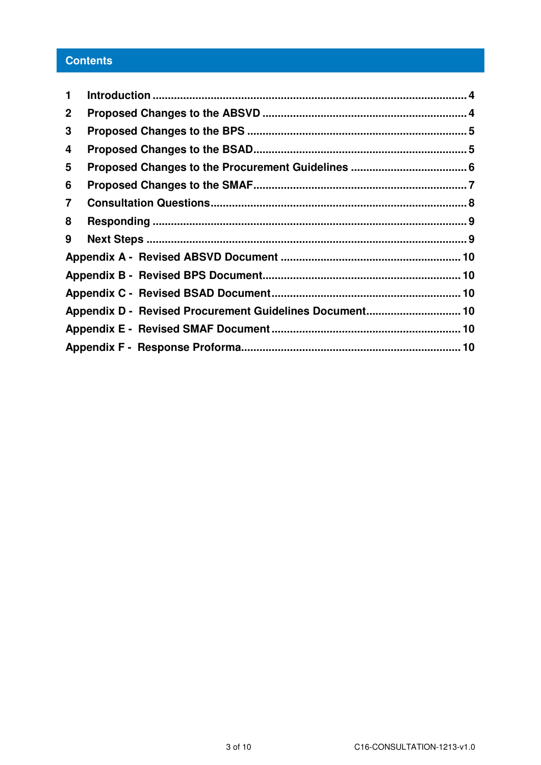# **Contents**

| 1                       |                                                         |  |
|-------------------------|---------------------------------------------------------|--|
| $\mathbf 2$             |                                                         |  |
| 3                       |                                                         |  |
| 4                       |                                                         |  |
| 5                       |                                                         |  |
| 6                       |                                                         |  |
| $\overline{\mathbf{7}}$ |                                                         |  |
| 8                       |                                                         |  |
| 9                       |                                                         |  |
|                         |                                                         |  |
|                         |                                                         |  |
|                         |                                                         |  |
|                         | Appendix D - Revised Procurement Guidelines Document 10 |  |
|                         |                                                         |  |
|                         |                                                         |  |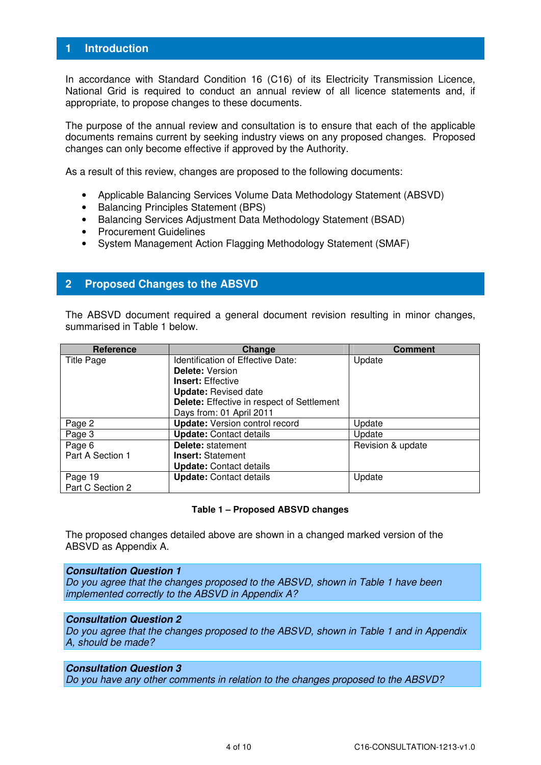# **1 Introduction**

In accordance with Standard Condition 16 (C16) of its Electricity Transmission Licence, National Grid is required to conduct an annual review of all licence statements and, if appropriate, to propose changes to these documents.

The purpose of the annual review and consultation is to ensure that each of the applicable documents remains current by seeking industry views on any proposed changes. Proposed changes can only become effective if approved by the Authority.

As a result of this review, changes are proposed to the following documents:

- Applicable Balancing Services Volume Data Methodology Statement (ABSVD)
- Balancing Principles Statement (BPS)
- Balancing Services Adjustment Data Methodology Statement (BSAD)
- Procurement Guidelines
- System Management Action Flagging Methodology Statement (SMAF)

# **2 Proposed Changes to the ABSVD**

The ABSVD document required a general document revision resulting in minor changes, summarised in Table 1 below.

| Reference         | Change                                            | <b>Comment</b>    |
|-------------------|---------------------------------------------------|-------------------|
| <b>Title Page</b> | <b>Identification of Effective Date:</b>          | Update            |
|                   | <b>Delete: Version</b>                            |                   |
|                   | <b>Insert:</b> Effective                          |                   |
|                   | <b>Update: Revised date</b>                       |                   |
|                   | <b>Delete:</b> Effective in respect of Settlement |                   |
|                   | Days from: 01 April 2011                          |                   |
| Page 2            | <b>Update:</b> Version control record             | Update            |
| Page 3            | <b>Update: Contact details</b>                    | Update            |
| Page 6            | <b>Delete: statement</b>                          | Revision & update |
| Part A Section 1  | <b>Insert: Statement</b>                          |                   |
|                   | <b>Update: Contact details</b>                    |                   |
| Page 19           | <b>Update: Contact details</b>                    | Update            |
| Part C Section 2  |                                                   |                   |

#### **Table 1 – Proposed ABSVD changes**

The proposed changes detailed above are shown in a changed marked version of the ABSVD as Appendix A.

#### **Consultation Question 1**

Do you agree that the changes proposed to the ABSVD, shown in Table 1 have been implemented correctly to the ABSVD in Appendix A?

#### **Consultation Question 2**

Do you agree that the changes proposed to the ABSVD, shown in Table 1 and in Appendix A, should be made?

#### **Consultation Question 3**

Do you have any other comments in relation to the changes proposed to the ABSVD?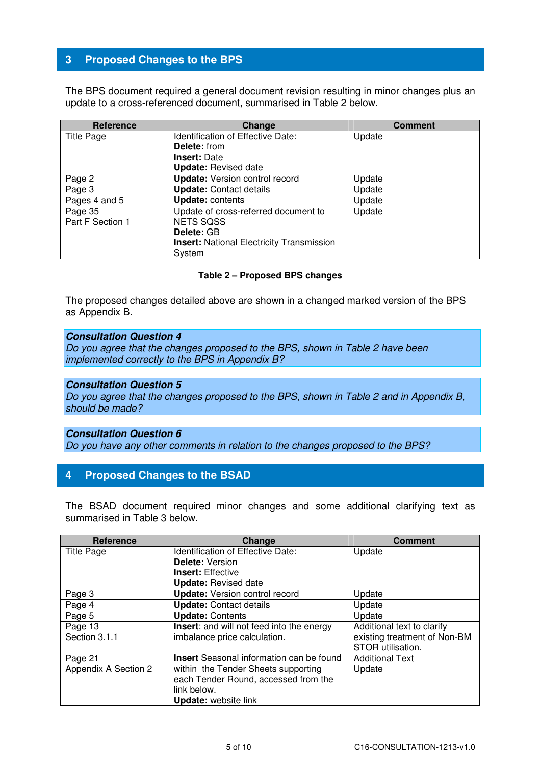# **3 Proposed Changes to the BPS**

The BPS document required a general document revision resulting in minor changes plus an update to a cross-referenced document, summarised in Table 2 below.

| <b>Reference</b>            | Change                                                   | <b>Comment</b> |
|-----------------------------|----------------------------------------------------------|----------------|
| <b>Title Page</b>           | <b>Identification of Effective Date:</b>                 | Update         |
|                             | <b>Delete:</b> from                                      |                |
|                             | <b>Insert: Date</b>                                      |                |
|                             | <b>Update: Revised date</b>                              |                |
| Page 2                      | <b>Update:</b> Version control record                    | Update         |
| Page 3                      | <b>Update: Contact details</b>                           | Update         |
| Pages 4 and 5               | <b>Update: contents</b>                                  | Update         |
| Page 35<br>Part F Section 1 | Update of cross-referred document to<br><b>NETS SQSS</b> | Update         |
|                             | Delete: GB                                               |                |
|                             | <b>Insert:</b> National Electricity Transmission         |                |
|                             | System                                                   |                |

#### **Table 2 – Proposed BPS changes**

The proposed changes detailed above are shown in a changed marked version of the BPS as Appendix B.

#### **Consultation Question 4**

Do you agree that the changes proposed to the BPS, shown in Table 2 have been implemented correctly to the BPS in Appendix B?

#### **Consultation Question 5**

Do you agree that the changes proposed to the BPS, shown in Table 2 and in Appendix B, should be made?

# **Consultation Question 6**

Do you have any other comments in relation to the changes proposed to the BPS?

# **4 Proposed Changes to the BSAD**

The BSAD document required minor changes and some additional clarifying text as summarised in Table 3 below.

| <b>Reference</b>     | Change                                           | <b>Comment</b>               |
|----------------------|--------------------------------------------------|------------------------------|
| <b>Title Page</b>    | <b>Identification of Effective Date:</b>         | Update                       |
|                      | <b>Delete: Version</b>                           |                              |
|                      | <b>Insert: Effective</b>                         |                              |
|                      | <b>Update: Revised date</b>                      |                              |
| Page 3               | <b>Update:</b> Version control record            | Update                       |
| Page 4               | <b>Update: Contact details</b>                   | Update                       |
| Page 5               | <b>Update: Contents</b>                          | Update                       |
| Page 13              | <b>Insert:</b> and will not feed into the energy | Additional text to clarify   |
| Section 3.1.1        | imbalance price calculation.                     | existing treatment of Non-BM |
|                      |                                                  | STOR utilisation.            |
| Page 21              | <b>Insert</b> Seasonal information can be found  | <b>Additional Text</b>       |
| Appendix A Section 2 | within the Tender Sheets supporting              | Update                       |
|                      | each Tender Round, accessed from the             |                              |
|                      | link below.                                      |                              |
|                      | <b>Update:</b> website link                      |                              |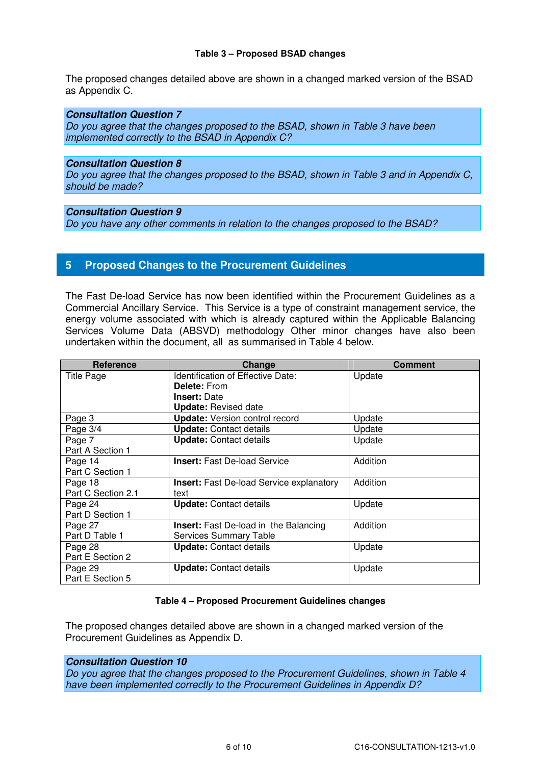#### **Table 3 – Proposed BSAD changes**

The proposed changes detailed above are shown in a changed marked version of the BSAD as Appendix C.

#### **Consultation Question 7**

Do you agree that the changes proposed to the BSAD, shown in Table 3 have been implemented correctly to the BSAD in Appendix C?

#### **Consultation Question 8**

Do you agree that the changes proposed to the BSAD, shown in Table 3 and in Appendix C, should be made?

#### **Consultation Question 9**

Do you have any other comments in relation to the changes proposed to the BSAD?

# **5 Proposed Changes to the Procurement Guidelines**

The Fast De-load Service has now been identified within the Procurement Guidelines as a Commercial Ancillary Service. This Service is a type of constraint management service, the energy volume associated with which is already captured within the Applicable Balancing Services Volume Data (ABSVD) methodology Other minor changes have also been undertaken within the document, all as summarised in Table 4 below.

| <b>Reference</b>   | Change                                          | <b>Comment</b> |
|--------------------|-------------------------------------------------|----------------|
| <b>Title Page</b>  | <b>Identification of Effective Date:</b>        | Update         |
|                    | <b>Delete: From</b>                             |                |
|                    | <b>Insert: Date</b>                             |                |
|                    | <b>Update: Revised date</b>                     |                |
| Page 3             | <b>Update:</b> Version control record           | Update         |
| Page 3/4           | <b>Update: Contact details</b>                  | Update         |
| Page 7             | <b>Update: Contact details</b>                  | Update         |
| Part A Section 1   |                                                 |                |
| Page 14            | <b>Insert:</b> Fast De-load Service             | Addition       |
| Part C Section 1   |                                                 |                |
| Page 18            | <b>Insert:</b> Fast De-load Service explanatory | Addition       |
| Part C Section 2.1 | text                                            |                |
| Page 24            | <b>Update: Contact details</b>                  | Update         |
| Part D Section 1   |                                                 |                |
| Page 27            | <b>Insert:</b> Fast De-load in the Balancing    | Addition       |
| Part D Table 1     | <b>Services Summary Table</b>                   |                |
| Page 28            | <b>Update: Contact details</b>                  | Update         |
| Part E Section 2   |                                                 |                |
| Page 29            | <b>Update: Contact details</b>                  | Update         |
| Part E Section 5   |                                                 |                |

#### **Table 4 – Proposed Procurement Guidelines changes**

The proposed changes detailed above are shown in a changed marked version of the Procurement Guidelines as Appendix D.

# **Consultation Question 10**

Do you agree that the changes proposed to the Procurement Guidelines, shown in Table 4 have been implemented correctly to the Procurement Guidelines in Appendix D?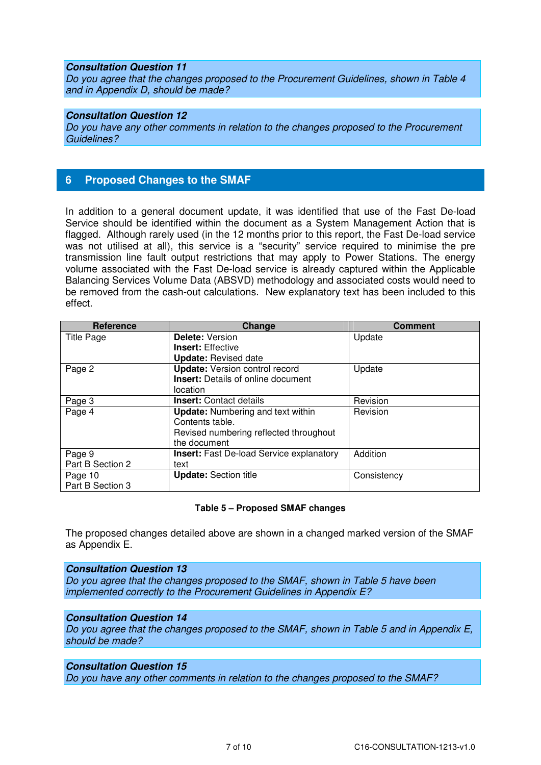#### **Consultation Question 11**

Do you agree that the changes proposed to the Procurement Guidelines, shown in Table 4 and in Appendix D, should be made?

#### **Consultation Question 12**

Do you have any other comments in relation to the changes proposed to the Procurement Guidelines?

## **6 Proposed Changes to the SMAF**

In addition to a general document update, it was identified that use of the Fast De-load Service should be identified within the document as a System Management Action that is flagged. Although rarely used (in the 12 months prior to this report, the Fast De-load service was not utilised at all), this service is a "security" service required to minimise the pre transmission line fault output restrictions that may apply to Power Stations. The energy volume associated with the Fast De-load service is already captured within the Applicable Balancing Services Volume Data (ABSVD) methodology and associated costs would need to be removed from the cash-out calculations. New explanatory text has been included to this effect.

| <b>Reference</b>  | Change                                          | <b>Comment</b> |
|-------------------|-------------------------------------------------|----------------|
| <b>Title Page</b> | <b>Delete: Version</b>                          | Update         |
|                   | <b>Insert:</b> Effective                        |                |
|                   | <b>Update: Revised date</b>                     |                |
| Page 2            | <b>Update:</b> Version control record           | Update         |
|                   | <b>Insert:</b> Details of online document       |                |
|                   | location                                        |                |
| Page 3            | <b>Insert:</b> Contact details                  | Revision       |
| Page 4            | <b>Update:</b> Numbering and text within        | Revision       |
|                   | Contents table.                                 |                |
|                   | Revised numbering reflected throughout          |                |
|                   | the document                                    |                |
| Page 9            | <b>Insert:</b> Fast De-load Service explanatory | Addition       |
| Part B Section 2  | text                                            |                |
| Page 10           | <b>Update: Section title</b>                    | Consistency    |
| Part B Section 3  |                                                 |                |

#### **Table 5 – Proposed SMAF changes**

The proposed changes detailed above are shown in a changed marked version of the SMAF as Appendix E.

#### **Consultation Question 13**

Do you agree that the changes proposed to the SMAF, shown in Table 5 have been implemented correctly to the Procurement Guidelines in Appendix E?

#### **Consultation Question 14**

Do you agree that the changes proposed to the SMAF, shown in Table 5 and in Appendix E, should be made?

#### **Consultation Question 15**

Do you have any other comments in relation to the changes proposed to the SMAF?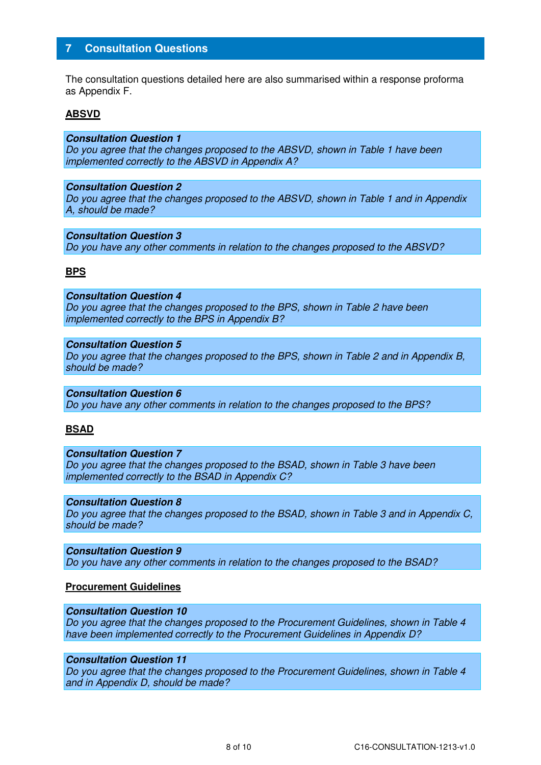# **7 Consultation Questions**

The consultation questions detailed here are also summarised within a response proforma as Appendix F.

#### **ABSVD**

#### **Consultation Question 1**

Do you agree that the changes proposed to the ABSVD, shown in Table 1 have been implemented correctly to the ABSVD in Appendix A?

#### **Consultation Question 2**

Do you agree that the changes proposed to the ABSVD, shown in Table 1 and in Appendix A, should be made?

#### **Consultation Question 3**

Do you have any other comments in relation to the changes proposed to the ABSVD?

#### **BPS**

# **Consultation Question 4**

Do you agree that the changes proposed to the BPS, shown in Table 2 have been implemented correctly to the BPS in Appendix B?

#### **Consultation Question 5**

Do you agree that the changes proposed to the BPS, shown in Table 2 and in Appendix B, should be made?

# **Consultation Question 6**

Do you have any other comments in relation to the changes proposed to the BPS?

#### **BSAD**

#### **Consultation Question 7**

Do you agree that the changes proposed to the BSAD, shown in Table 3 have been implemented correctly to the BSAD in Appendix C?

#### **Consultation Question 8**

Do you agree that the changes proposed to the BSAD, shown in Table 3 and in Appendix C, should be made?

#### **Consultation Question 9**  Do you have any other comments in relation to the changes proposed to the BSAD?

#### **Procurement Guidelines**

#### **Consultation Question 10**

Do you agree that the changes proposed to the Procurement Guidelines, shown in Table 4 have been implemented correctly to the Procurement Guidelines in Appendix D?

#### **Consultation Question 11**

Do you agree that the changes proposed to the Procurement Guidelines, shown in Table 4 and in Appendix D, should be made?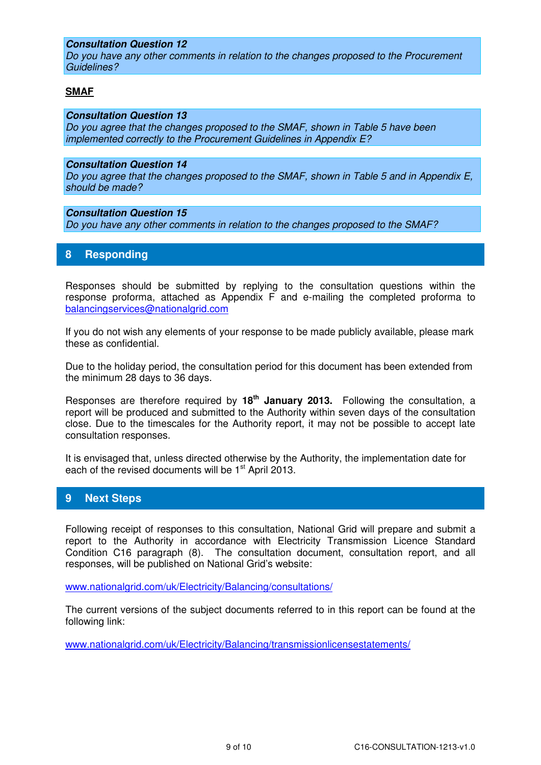## **Consultation Question 12**

Do you have any other comments in relation to the changes proposed to the Procurement Guidelines?

#### **SMAF**

#### **Consultation Question 13**

Do you agree that the changes proposed to the SMAF, shown in Table 5 have been implemented correctly to the Procurement Guidelines in Appendix E?

#### **Consultation Question 14**

Do you agree that the changes proposed to the SMAF, shown in Table 5 and in Appendix E, should be made?

#### **Consultation Question 15**

Do you have any other comments in relation to the changes proposed to the SMAF?

# **8 Responding**

Responses should be submitted by replying to the consultation questions within the response proforma, attached as Appendix F and e-mailing the completed proforma to balancingservices@nationalgrid.com

If you do not wish any elements of your response to be made publicly available, please mark these as confidential.

Due to the holiday period, the consultation period for this document has been extended from the minimum 28 days to 36 days.

Responses are therefore required by **18th January 2013.** Following the consultation, a report will be produced and submitted to the Authority within seven days of the consultation close. Due to the timescales for the Authority report, it may not be possible to accept late consultation responses.

It is envisaged that, unless directed otherwise by the Authority, the implementation date for each of the revised documents will be 1<sup>st</sup> April 2013.

# **9 Next Steps**

Following receipt of responses to this consultation, National Grid will prepare and submit a report to the Authority in accordance with Electricity Transmission Licence Standard Condition C16 paragraph (8). The consultation document, consultation report, and all responses, will be published on National Grid's website:

www.nationalgrid.com/uk/Electricity/Balancing/consultations/

The current versions of the subject documents referred to in this report can be found at the following link:

www.nationalgrid.com/uk/Electricity/Balancing/transmissionlicensestatements/